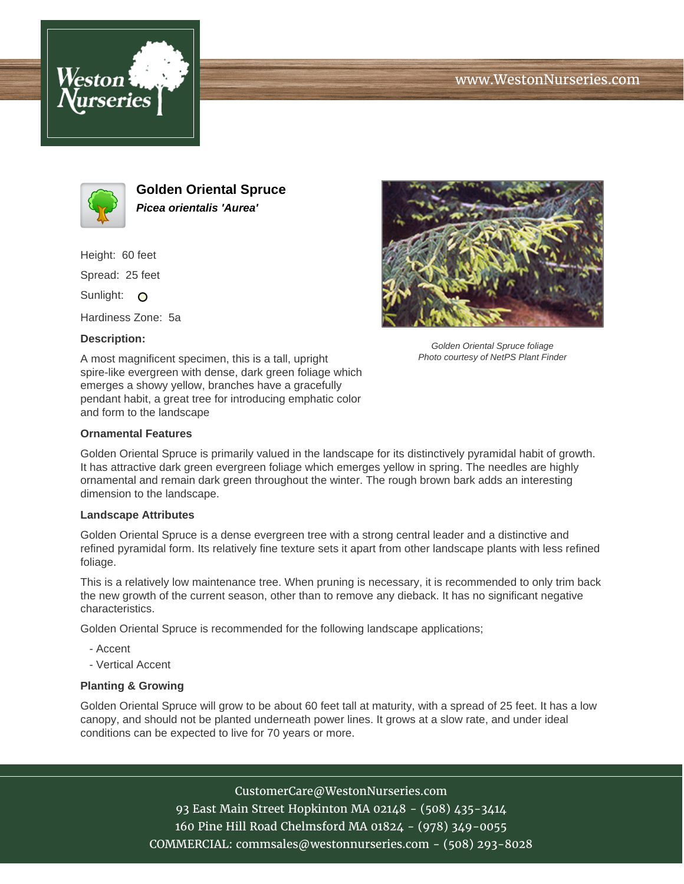





**Golden Oriental Spruce Picea orientalis 'Aurea'**

Height: 60 feet

Spread: 25 feet

Sunlight: O

Hardiness Zone: 5a

## **Description:**

A most magnificent specimen, this is a tall, upright spire-like evergreen with dense, dark green foliage which emerges a showy yellow, branches have a gracefully pendant habit, a great tree for introducing emphatic color and form to the landscape



Golden Oriental Spruce is primarily valued in the landscape for its distinctively pyramidal habit of growth. It has attractive dark green evergreen foliage which emerges yellow in spring. The needles are highly ornamental and remain dark green throughout the winter. The rough brown bark adds an interesting dimension to the landscape.

## **Landscape Attributes**

Golden Oriental Spruce is a dense evergreen tree with a strong central leader and a distinctive and refined pyramidal form. Its relatively fine texture sets it apart from other landscape plants with less refined foliage.

This is a relatively low maintenance tree. When pruning is necessary, it is recommended to only trim back the new growth of the current season, other than to remove any dieback. It has no significant negative characteristics.

Golden Oriental Spruce is recommended for the following landscape applications;

- Accent
- Vertical Accent

## **Planting & Growing**

Golden Oriental Spruce will grow to be about 60 feet tall at maturity, with a spread of 25 feet. It has a low canopy, and should not be planted underneath power lines. It grows at a slow rate, and under ideal conditions can be expected to live for 70 years or more.

CustomerCare@WestonNurseries.com

93 East Main Street Hopkinton MA 02148 - (508) 435-3414 160 Pine Hill Road Chelmsford MA 01824 - (978) 349-0055 COMMERCIAL: commsales@westonnurseries.com - (508) 293-8028



Golden Oriental Spruce foliage Photo courtesy of NetPS Plant Finder